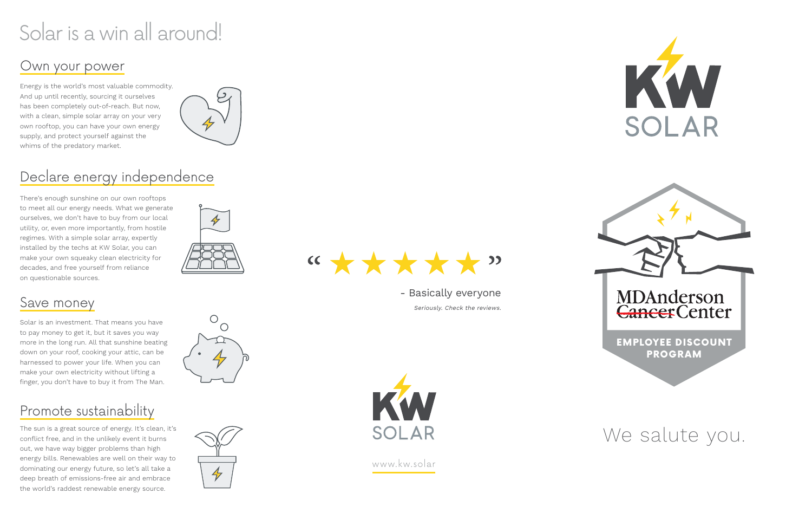Energy is the world's most valuable commodity. And up until recently, sourcing it ourselves has been completely out-of-reach. But now, with a clean, simple solar array on your very own rooftop, you can have your own energy supply, and protect yourself against the whims of the predatory market.



There's enough sunshine on our own rooftops to meet all our energy needs. What we generate ourselves, we don't have to buy from our local utility, or, even more importantly, from hostile regimes. With a simple solar array, expertly installed by the techs at KW Solar, you can make your own squeaky clean electricity for decades, and free yourself from reliance on questionable sources.



The sun is a great source of energy. It's clean, it's conflict free, and in the unlikely event it burns out, we have way bigger problems than high energy bills. Renewables are well on their way to dominating our energy future, so let's all take a deep breath of emissions-free air and embrace the world's raddest renewable energy source.







Solar is an investment. That means you have to pay money to get it, but it saves you way more in the long run. All that sunshine beating down on your roof, cooking your attic, can be harnessed to power your life. When you can make your own electricity without lifting a finger, you don't have to buy it from The Man.

# Solar is a win all around!

# Own your power

# Declare energy independence

## Save money

# Promote sustainability

- Basically everyone

Seriously. Check the reviews.





# We salute you.

www.kw.solar